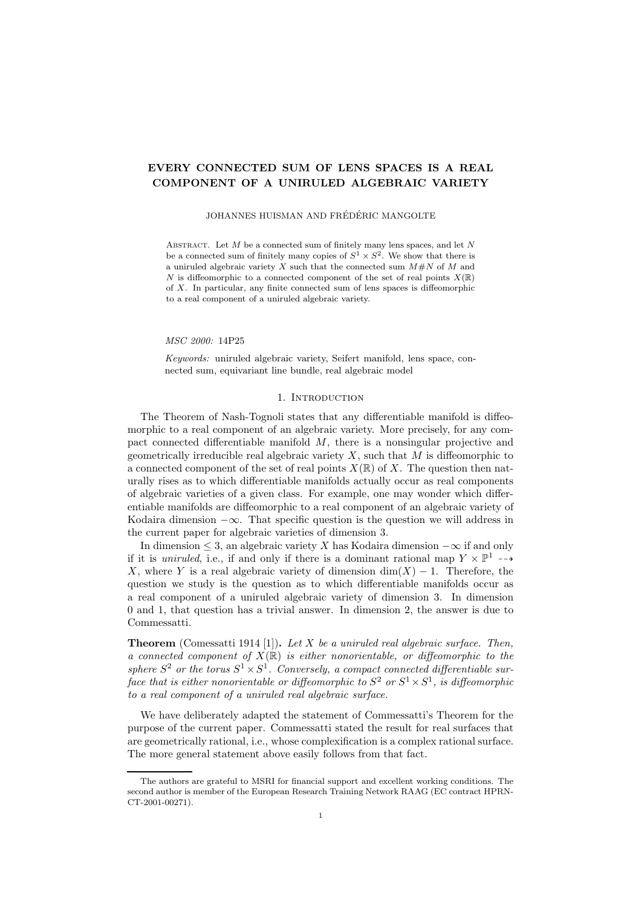# EVERY CONNECTED SUM OF LENS SPACES IS A REAL COMPONENT OF A UNIRULED ALGEBRAIC VARIETY

#### JOHANNES HUISMAN AND FRÉDÉRIC MANGOLTE

ABSTRACT. Let  $M$  be a connected sum of finitely many lens spaces, and let  $N$ be a connected sum of finitely many copies of  $S^1 \times S^2$ . We show that there is a uniruled algebraic variety  $X$  such that the connected sum  $M \# N$  of  $M$  and N is diffeomorphic to a connected component of the set of real points  $X(\mathbb{R})$ of X. In particular, any finite connected sum of lens spaces is diffeomorphic to a real component of a uniruled algebraic variety.

#### MSC 2000: 14P25

Keywords: uniruled algebraic variety, Seifert manifold, lens space, connected sum, equivariant line bundle, real algebraic model

### 1. INTRODUCTION

The Theorem of Nash-Tognoli states that any differentiable manifold is diffeomorphic to a real component of an algebraic variety. More precisely, for any compact connected differentiable manifold  $M$ , there is a nonsingular projective and geometrically irreducible real algebraic variety  $X$ , such that  $M$  is diffeomorphic to a connected component of the set of real points  $X(\mathbb{R})$  of X. The question then naturally rises as to which differentiable manifolds actually occur as real components of algebraic varieties of a given class. For example, one may wonder which differentiable manifolds are diffeomorphic to a real component of an algebraic variety of Kodaira dimension  $-\infty$ . That specific question is the question we will address in the current paper for algebraic varieties of dimension 3.

In dimension  $\leq$  3, an algebraic variety X has Kodaira dimension  $-\infty$  if and only if it is *uniruled*, i.e., if and only if there is a dominant rational map  $Y \times \mathbb{P}^1$  --X, where Y is a real algebraic variety of dimension  $\dim(X) - 1$ . Therefore, the question we study is the question as to which differentiable manifolds occur as a real component of a uniruled algebraic variety of dimension 3. In dimension 0 and 1, that question has a trivial answer. In dimension 2, the answer is due to Commessatti.

**Theorem** (Comessatti 1914 [1]). Let  $X$  be a uniruled real algebraic surface. Then, a connected component of  $X(\mathbb{R})$  is either nonorientable, or diffeomorphic to the sphere  $S^2$  or the torus  $S^1 \times S^1$ . Conversely, a compact connected differentiable surface that is either nonorientable or diffeomorphic to  $S^2$  or  $S^1 \times S^1$ , is diffeomorphic to a real component of a uniruled real algebraic surface.

We have deliberately adapted the statement of Commessatti's Theorem for the purpose of the current paper. Commessatti stated the result for real surfaces that are geometrically rational, i.e., whose complexification is a complex rational surface. The more general statement above easily follows from that fact.

The authors are grateful to MSRI for financial support and excellent working conditions. The second author is member of the European Research Training Network RAAG (EC contract HPRN-CT-2001-00271).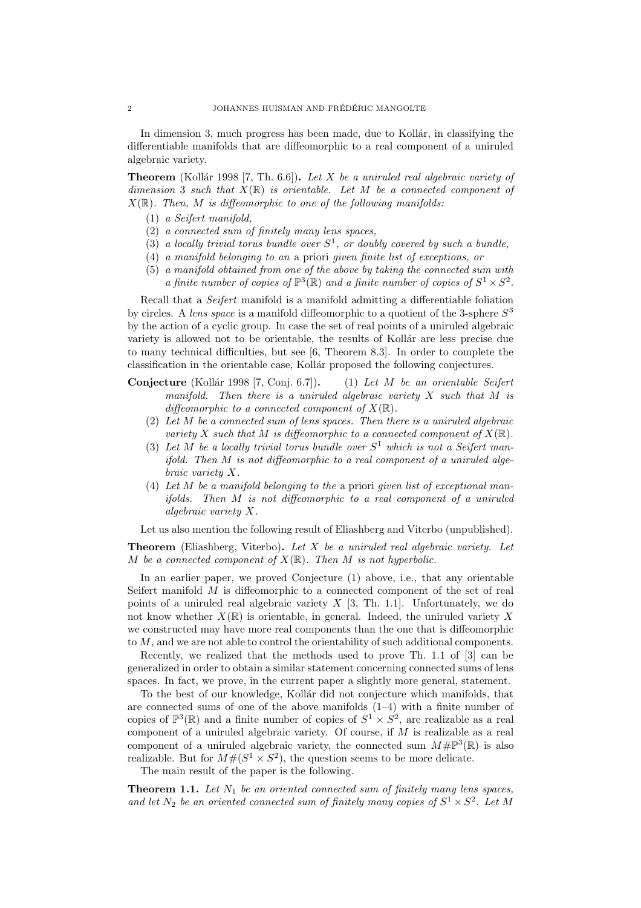In dimension 3, much progress has been made, due to Kollár, in classifying the differentiable manifolds that are diffeomorphic to a real component of a uniruled algebraic variety.

**Theorem** (Kollár 1998 [7, Th. 6.6]). Let X be a uniruled real algebraic variety of dimension 3 such that  $X(\mathbb{R})$  is orientable. Let M be a connected component of  $X(\mathbb{R})$ . Then, M is diffeomorphic to one of the following manifolds:

- (1) a Seifert manifold,
- (2) a connected sum of finitely many lens spaces,
- $(3)$  a locally trivial torus bundle over  $S<sup>1</sup>$ , or doubly covered by such a bundle,
- (4) a manifold belonging to an a priori given finite list of exceptions, or
- (5) a manifold obtained from one of the above by taking the connected sum with a finite number of copies of  $\mathbb{P}^3(\mathbb{R})$  and a finite number of copies of  $S^1 \times S^2$ .

Recall that a Seifert manifold is a manifold admitting a differentiable foliation by circles. A lens space is a manifold diffeomorphic to a quotient of the 3-sphere  $S^3$ by the action of a cyclic group. In case the set of real points of a uniruled algebraic variety is allowed not to be orientable, the results of Kollár are less precise due to many technical difficulties, but see [6, Theorem 8.3]. In order to complete the classification in the orientable case, Kollár proposed the following conjectures.

**Conjecture** (Kollár 1998 [7, Conj. 6.7]). (1) Let M be an orientable Seifert manifold. Then there is a uniruled algebraic variety  $X$  such that  $M$  is diffeomorphic to a connected component of  $X(\mathbb{R})$ .

- (2) Let M be a connected sum of lens spaces. Then there is a uniruled algebraic variety X such that M is diffeomorphic to a connected component of  $X(\mathbb{R})$ .
- (3) Let  $\tilde{M}$  be a locally trivial torus bundle over  $S^1$  which is not a Seifert manifold. Then M is not diffeomorphic to a real component of a uniruled algebraic variety X.
- (4) Let M be a manifold belonging to the a priori given list of exceptional manifolds. Then M is not diffeomorphic to a real component of a uniruled algebraic variety X.

Let us also mention the following result of Eliashberg and Viterbo (unpublished).

**Theorem** (Eliashberg, Viterbo). Let  $X$  be a uniruled real algebraic variety. Let M be a connected component of  $X(\mathbb{R})$ . Then M is not hyperbolic.

In an earlier paper, we proved Conjecture (1) above, i.e., that any orientable Seifert manifold M is diffeomorphic to a connected component of the set of real points of a uniruled real algebraic variety  $X$  [3, Th. 1.1]. Unfortunately, we do not know whether  $X(\mathbb{R})$  is orientable, in general. Indeed, the uniruled variety X we constructed may have more real components than the one that is diffeomorphic to M, and we are not able to control the orientability of such additional components.

Recently, we realized that the methods used to prove Th. 1.1 of [3] can be generalized in order to obtain a similar statement concerning connected sums of lens spaces. In fact, we prove, in the current paper a slightly more general, statement.

To the best of our knowledge, Kollár did not conjecture which manifolds, that are connected sums of one of the above manifolds (1–4) with a finite number of copies of  $\mathbb{P}^3(\mathbb{R})$  and a finite number of copies of  $S^1 \times S^2$ , are realizable as a real component of a uniruled algebraic variety. Of course, if  $M$  is realizable as a real component of a uniruled algebraic variety, the connected sum  $M# \mathbb{P}^3(\mathbb{R})$  is also realizable. But for  $M#(S^1 \times S^2)$ , the question seems to be more delicate.

The main result of the paper is the following.

**Theorem 1.1.** Let  $N_1$  be an oriented connected sum of finitely many lens spaces, and let  $N_2$  be an oriented connected sum of finitely many copies of  $S^1 \times S^2$ . Let M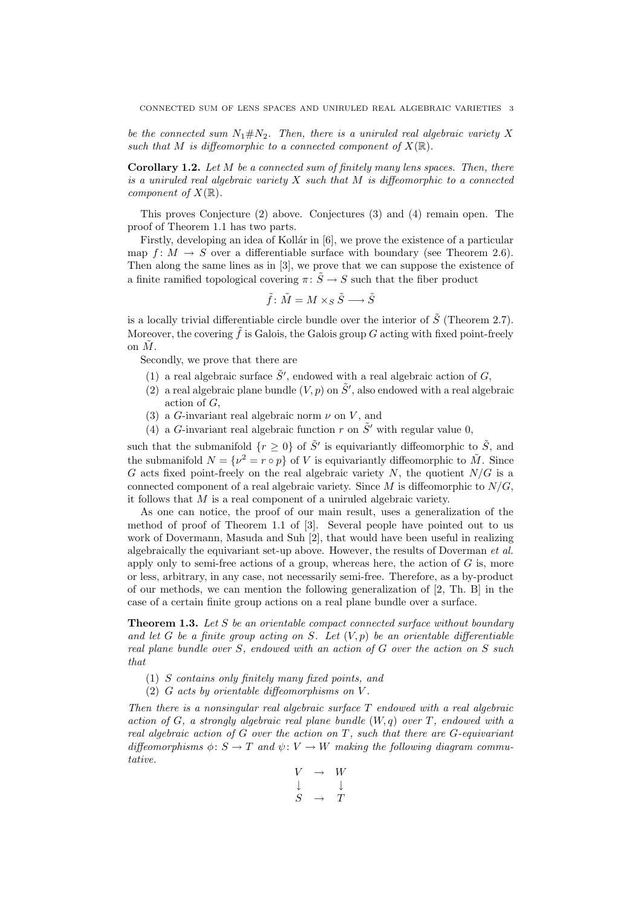be the connected sum  $N_1 \# N_2$ . Then, there is a uniruled real algebraic variety X such that M is diffeomorphic to a connected component of  $X(\mathbb{R})$ .

**Corollary 1.2.** Let  $M$  be a connected sum of finitely many lens spaces. Then, there is a uniruled real algebraic variety  $X$  such that  $M$  is diffeomorphic to a connected component of  $X(\mathbb{R})$ .

This proves Conjecture (2) above. Conjectures (3) and (4) remain open. The proof of Theorem 1.1 has two parts.

Firstly, developing an idea of Kollár in  $[6]$ , we prove the existence of a particular map  $f: M \to S$  over a differentiable surface with boundary (see Theorem 2.6). Then along the same lines as in [3], we prove that we can suppose the existence of a finite ramified topological covering  $\pi: \tilde{S} \to S$  such that the fiber product

$$
\tilde{f} \colon \tilde{M} = M \times_S \tilde{S} \longrightarrow \tilde{S}
$$

is a locally trivial differentiable circle bundle over the interior of  $\tilde{S}$  (Theorem 2.7). Moreover, the covering  $\tilde{f}$  is Galois, the Galois group G acting with fixed point-freely on  $\tilde{M}$ .

Secondly, we prove that there are

- (1) a real algebraic surface  $\tilde{S}'$ , endowed with a real algebraic action of  $G$ ,
- (2) a real algebraic plane bundle  $(V, p)$  on  $\tilde{S}'$ , also endowed with a real algebraic action of G,
- (3) a G-invariant real algebraic norm  $\nu$  on V, and
- (4) a G-invariant real algebraic function r on  $\tilde{S}'$  with regular value 0,

such that the submanifold  $\{r \geq 0\}$  of  $\tilde{S}'$  is equivariantly diffeomorphic to  $\tilde{S}$ , and the submanifold  $N = \{v^2 = r \circ p\}$  of V is equivariantly diffeomorphic to  $\tilde{M}$ . Since G acts fixed point-freely on the real algebraic variety  $N$ , the quotient  $N/G$  is a connected component of a real algebraic variety. Since  $M$  is diffeomorphic to  $N/G$ , it follows that M is a real component of a uniruled algebraic variety.

As one can notice, the proof of our main result, uses a generalization of the method of proof of Theorem 1.1 of [3]. Several people have pointed out to us work of Dovermann, Masuda and Suh [2], that would have been useful in realizing algebraically the equivariant set-up above. However, the results of Doverman et al. apply only to semi-free actions of a group, whereas here, the action of  $G$  is, more or less, arbitrary, in any case, not necessarily semi-free. Therefore, as a by-product of our methods, we can mention the following generalization of [2, Th. B] in the case of a certain finite group actions on a real plane bundle over a surface.

**Theorem 1.3.** Let S be an orientable compact connected surface without boundary and let G be a finite group acting on S. Let  $(V, p)$  be an orientable differentiable real plane bundle over S, endowed with an action of G over the action on S such that

- (1) S contains only finitely many fixed points, and
- (2) G acts by orientable diffeomorphisms on V .

Then there is a nonsingular real algebraic surface T endowed with a real algebraic action of G, a strongly algebraic real plane bundle  $(W, q)$  over T, endowed with a real algebraic action of  $G$  over the action on  $T$ , such that there are  $G$ -equivariant diffeomorphisms  $\phi \colon S \to T$  and  $\psi \colon V \to W$  making the following diagram commutative.

$$
\begin{array}{ccc}\nV & \to & W \\
\downarrow & & \downarrow \\
S & \to & T\n\end{array}
$$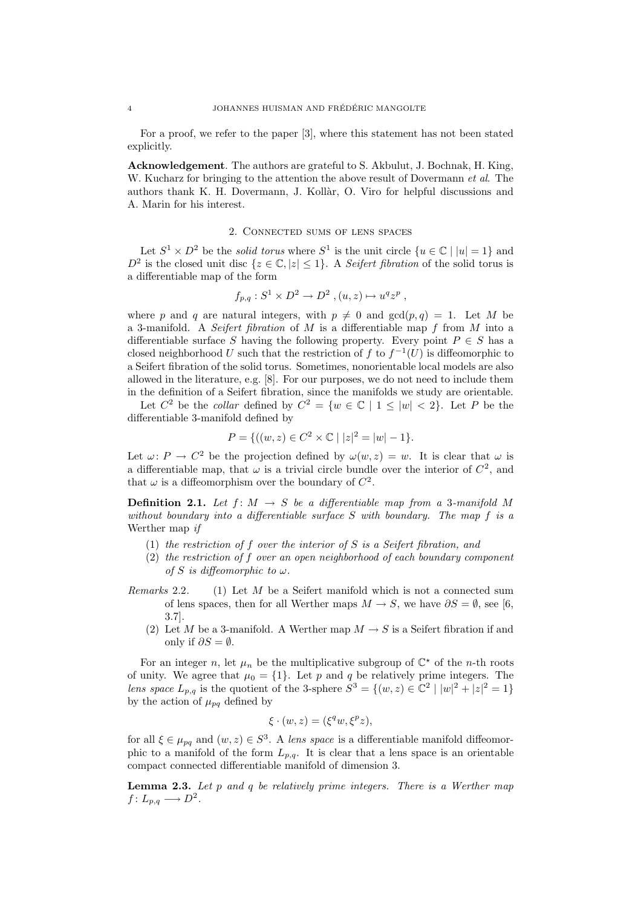For a proof, we refer to the paper [3], where this statement has not been stated explicitly.

Acknowledgement. The authors are grateful to S. Akbulut, J. Bochnak, H. King, W. Kucharz for bringing to the attention the above result of Dovermann *et al.* The authors thank K. H. Dovermann, J. Kollàr, O. Viro for helpful discussions and A. Marin for his interest.

## 2. Connected sums of lens spaces

Let  $S^1 \times D^2$  be the *solid torus* where  $S^1$  is the unit circle  $\{u \in \mathbb{C} \mid |u| = 1\}$  and  $D^2$  is the closed unit disc  $\{z \in \mathbb{C}, |z| \leq 1\}$ . A *Seifert fibration* of the solid torus is a differentiable map of the form

$$
f_{p,q}: S^1 \times D^2 \to D^2
$$
,  $(u, z) \mapsto u^q z^p$ ,

where p and q are natural integers, with  $p \neq 0$  and  $gcd(p, q) = 1$ . Let M be a 3-manifold. A *Seifert fibration* of  $M$  is a differentiable map  $f$  from  $M$  into a differentiable surface S having the following property. Every point  $P \in S$  has a closed neighborhood U such that the restriction of f to  $f^{-1}(U)$  is diffeomorphic to a Seifert fibration of the solid torus. Sometimes, nonorientable local models are also allowed in the literature, e.g. [8]. For our purposes, we do not need to include them in the definition of a Seifert fibration, since the manifolds we study are orientable.

Let  $C^2$  be the *collar* defined by  $C^2 = \{w \in \mathbb{C} \mid 1 \leq |w| < 2\}$ . Let P be the differentiable 3-manifold defined by

$$
P = \{ ((w, z) \in C^2 \times \mathbb{C} \mid |z|^2 = |w| - 1 \}.
$$

Let  $\omega: P \to C^2$  be the projection defined by  $\omega(w, z) = w$ . It is clear that  $\omega$  is a differentiable map, that  $\omega$  is a trivial circle bundle over the interior of  $C^2$ , and that  $\omega$  is a diffeomorphism over the boundary of  $C^2$ .

**Definition 2.1.** Let  $f: M \rightarrow S$  be a differentiable map from a 3-manifold M without boundary into a differentiable surface  $S$  with boundary. The map  $f$  is a Werther map if

- (1) the restriction of f over the interior of S is a Seifert fibration, and
- (2) the restriction of f over an open neighborhood of each boundary component of S is diffeomorphic to  $\omega$ .
- Remarks 2.2. (1) Let  $M$  be a Seifert manifold which is not a connected sum of lens spaces, then for all Werther maps  $M \to S$ , we have  $\partial S = \emptyset$ , see [6, 3.7].
	- (2) Let M be a 3-manifold. A Werther map  $M \to S$  is a Seifert fibration if and only if  $\partial S = \emptyset$ .

For an integer n, let  $\mu_n$  be the multiplicative subgroup of  $\mathbb{C}^*$  of the n-th roots of unity. We agree that  $\mu_0 = \{1\}$ . Let p and q be relatively prime integers. The lens space  $L_{p,q}$  is the quotient of the 3-sphere  $S^3 = \{(w, z) \in \mathbb{C}^2 \mid |w|^2 + |z|^2 = 1\}$ by the action of  $\mu_{pq}$  defined by

$$
\xi \cdot (w, z) = (\xi^q w, \xi^p z),
$$

for all  $\xi \in \mu_{pq}$  and  $(w, z) \in S^3$ . A lens space is a differentiable manifold diffeomorphic to a manifold of the form  $L_{p,q}$ . It is clear that a lens space is an orientable compact connected differentiable manifold of dimension 3.

**Lemma 2.3.** Let p and q be relatively prime integers. There is a Werther map  $f: L_{p,q} \longrightarrow D^2$ .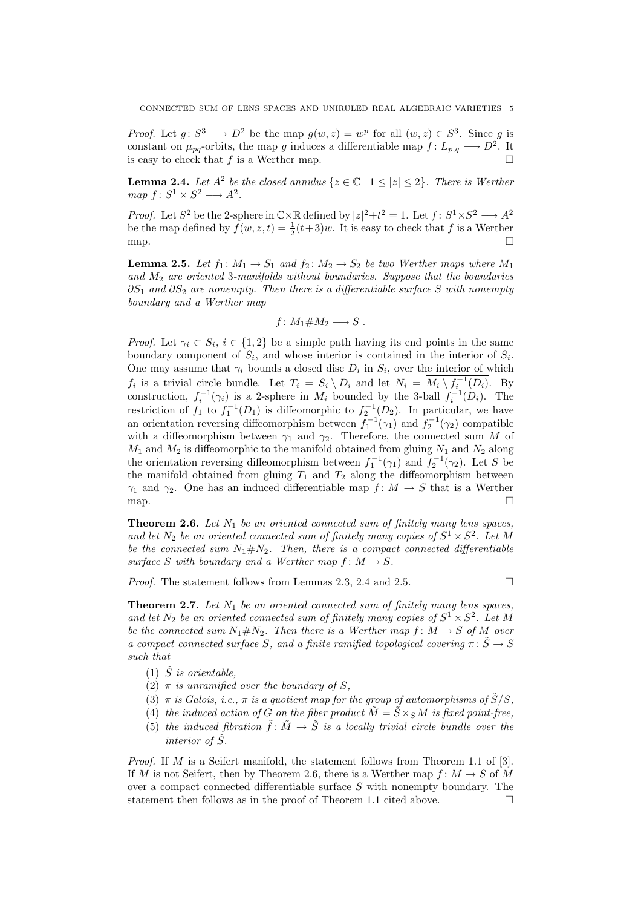*Proof.* Let  $g: S^3 \longrightarrow D^2$  be the map  $g(w, z) = w^p$  for all  $(w, z) \in S^3$ . Since g is constant on  $\mu_{pq}$ -orbits, the map g induces a differentiable map  $f: L_{p,q} \longrightarrow D^2$ . It is easy to check that  $f$  is a Werther map.

**Lemma 2.4.** Let  $A^2$  be the closed annulus  $\{z \in \mathbb{C} \mid 1 \leq |z| \leq 2\}$ . There is Werther  $map f: S^1 \times S^2 \longrightarrow A^2.$ 

*Proof.* Let  $S^2$  be the 2-sphere in  $\mathbb{C}\times\mathbb{R}$  defined by  $|z|^2+t^2=1$ . Let  $f: S^1\times S^2\longrightarrow A^2$ be the map defined by  $f(w, z, t) = \frac{1}{2}(t+3)w$ . It is easy to check that f is a Werther map.  $\square$ 

**Lemma 2.5.** Let  $f_1: M_1 \to S_1$  and  $f_2: M_2 \to S_2$  be two Werther maps where  $M_1$ and  $M_2$  are oriented 3-manifolds without boundaries. Suppose that the boundaries  $\partial S_1$  and  $\partial S_2$  are nonempty. Then there is a differentiable surface S with nonempty boundary and a Werther map

$$
f\colon M_1\#M_2\longrightarrow S\ .
$$

*Proof.* Let  $\gamma_i \subset S_i$ ,  $i \in \{1,2\}$  be a simple path having its end points in the same boundary component of  $S_i$ , and whose interior is contained in the interior of  $S_i$ . One may assume that  $\gamma_i$  bounds a closed disc  $D_i$  in  $S_i$ , over the interior of which  $f_i$  is a trivial circle bundle. Let  $T_i = \overline{S_i \setminus D_i}$  and let  $N_i = \overline{M_i \setminus f_i^{-1}(D_i)}$ . By  $j_i$  is a trivial tricle bundle. Let  $I_i = S_i \setminus D_i$  and let  $N_i = M_i \setminus I_i$ <br>construction,  $f_i^{-1}(\gamma_i)$  is a 2-sphere in  $M_i$  bounded by the 3-ball  $f_i^{-1}$  $i_i^{-1}(\gamma_i)$  is a 2-sphere in  $M_i$  bounded by the 3-ball  $f_i^{-1}$  $i^{-1}(D_i)$ . The restriction of  $f_1$  to  $f_1^{-1}(D_1)$  is diffeomorphic to  $f_2^{-1}(D_2)$ . In particular, we have an orientation reversing diffeomorphism between  $f_1^{-1}(\gamma_1)$  and  $f_2^{-1}(\gamma_2)$  compatible with a diffeomorphism between  $\gamma_1$  and  $\gamma_2$ . Therefore, the connected sum M of  $M_1$  and  $M_2$  is diffeomorphic to the manifold obtained from gluing  $N_1$  and  $N_2$  along the orientation reversing diffeomorphism between  $f_1^{-1}(\gamma_1)$  and  $f_2^{-1}(\gamma_2)$ . Let S be the manifold obtained from gluing  $T_1$  and  $T_2$  along the diffeomorphism between  $\gamma_1$  and  $\gamma_2$ . One has an induced differentiable map  $f: M \to S$  that is a Werther map.  $\Box$ 

**Theorem 2.6.** Let  $N_1$  be an oriented connected sum of finitely many lens spaces, and let  $N_2$  be an oriented connected sum of finitely many copies of  $S^1 \times S^2$ . Let M be the connected sum  $N_1 \# N_2$ . Then, there is a compact connected differentiable surface S with boundary and a Werther map  $f: M \to S$ .

*Proof.* The statement follows from Lemmas 2.3, 2.4 and 2.5.  $\Box$ 

**Theorem 2.7.** Let  $N_1$  be an oriented connected sum of finitely many lens spaces, and let  $N_2$  be an oriented connected sum of finitely many copies of  $S^1 \times S^2$ . Let M be the connected sum  $N_1 \# N_2$ . Then there is a Werther map  $f : M \to S$  of M over a compact connected surface S, and a finite ramified topological covering  $\pi: \tilde{S} \to S$ such that

- (1)  $\tilde{S}$  is orientable,
- (2)  $\pi$  is unramified over the boundary of S,
- (3)  $\pi$  is Galois, i.e.,  $\pi$  is a quotient map for the group of automorphisms of  $\tilde{S}/S$ ,
- (4) the induced action of G on the fiber product  $\tilde{M} = \tilde{S} \times_S M$  is fixed point-free,
- (5) the induced fibration  $\tilde{f}$ :  $\tilde{M} \rightarrow \tilde{S}$  is a locally trivial circle bundle over the interior of  $\tilde{S}$ .

*Proof.* If M is a Seifert manifold, the statement follows from Theorem 1.1 of [3]. If M is not Seifert, then by Theorem 2.6, there is a Werther map  $f: M \to S$  of M over a compact connected differentiable surface S with nonempty boundary. The statement then follows as in the proof of Theorem 1.1 cited above.  $\Box$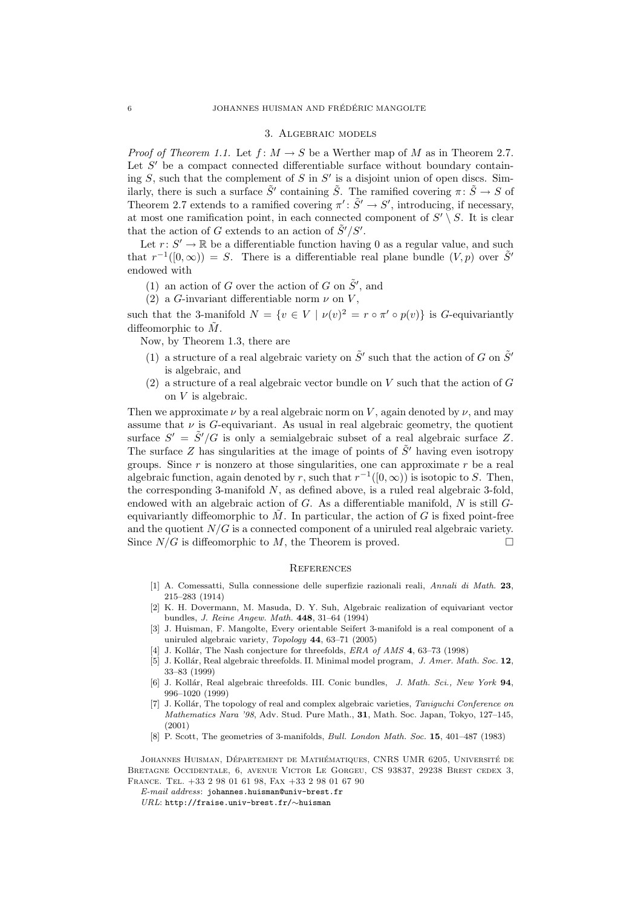### 3. Algebraic models

*Proof of Theorem 1.1.* Let  $f: M \to S$  be a Werther map of M as in Theorem 2.7. Let  $S'$  be a compact connected differentiable surface without boundary containing  $S$ , such that the complement of  $S$  in  $S'$  is a disjoint union of open discs. Similarly, there is such a surface  $\tilde{S}'$  containing  $\tilde{S}$ . The ramified covering  $\pi: \tilde{S} \to S$  of Theorem 2.7 extends to a ramified covering  $\pi' : \tilde{S}' \to S'$ , introducing, if necessary, at most one ramification point, in each connected component of  $S' \setminus S$ . It is clear that the action of G extends to an action of  $\tilde{S}'/S'$ .

Let  $r: S' \to \mathbb{R}$  be a differentiable function having 0 as a regular value, and such that  $r^{-1}([0,\infty)) = S$ . There is a differentiable real plane bundle  $(V, p)$  over  $\tilde{S}$ ' endowed with

- (1) an action of G over the action of G on  $\tilde{S}'$ , and
- (2) a G-invariant differentiable norm  $\nu$  on V,

such that the 3-manifold  $N = \{v \in V \mid v(v)^2 = r \circ \pi' \circ p(v)\}$  is G-equivariantly diffeomorphic to  $\tilde{M}$ .

Now, by Theorem 1.3, there are

- (1) a structure of a real algebraic variety on  $\tilde{S}'$  such that the action of G on  $\tilde{S}'$ is algebraic, and
- (2) a structure of a real algebraic vector bundle on  $V$  such that the action of  $G$ on V is algebraic.

Then we approximate  $\nu$  by a real algebraic norm on V, again denoted by  $\nu$ , and may assume that  $\nu$  is G-equivariant. As usual in real algebraic geometry, the quotient surface  $S' = \tilde{S}'/G$  is only a semialgebraic subset of a real algebraic surface Z. The surface Z has singularities at the image of points of  $\tilde{S}'$  having even isotropy groups. Since  $r$  is nonzero at those singularities, one can approximate  $r$  be a real algebraic function, again denoted by r, such that  $r^{-1}([0,\infty))$  is isotopic to S. Then, the corresponding 3-manifold  $N$ , as defined above, is a ruled real algebraic 3-fold, endowed with an algebraic action of  $G$ . As a differentiable manifold,  $N$  is still  $G$ equivariantly diffeomorphic to  $\tilde{M}$ . In particular, the action of G is fixed point-free and the quotient  $N/G$  is a connected component of a uniruled real algebraic variety. Since  $N/G$  is diffeomorphic to M, the Theorem is proved.

#### **REFERENCES**

- [1] A. Comessatti, Sulla connessione delle superfizie razionali reali, Annali di Math. 23, 215–283 (1914)
- [2] K. H. Dovermann, M. Masuda, D. Y. Suh, Algebraic realization of equivariant vector bundles, J. Reine Angew. Math. 448, 31–64 (1994)
- [3] J. Huisman, F. Mangolte, Every orientable Seifert 3-manifold is a real component of a uniruled algebraic variety, Topology 44, 63–71 (2005)
- [4] J. Kollár, The Nash conjecture for threefolds,  $ERA$  of  $AMS$  4, 63–73 (1998)
- [5] J. Kollár, Real algebraic threefolds. II. Minimal model program, J. Amer. Math. Soc. 12, 33–83 (1999)
- [6] J. Kollár, Real algebraic threefolds. III. Conic bundles, J. Math. Sci., New York 94, 996–1020 (1999)
- [7] J. Kollár, The topology of real and complex algebraic varieties, Taniguchi Conference on Mathematics Nara '98, Adv. Stud. Pure Math., 31, Math. Soc. Japan, Tokyo, 127–145, (2001)
- [8] P. Scott, The geometries of 3-manifolds, Bull. London Math. Soc. 15, 401–487 (1983)

JOHANNES HUISMAN, DÉPARTEMENT DE MATHÉMATIQUES, CNRS UMR 6205, UNIVERSITÉ DE Bretagne Occidentale, 6, avenue Victor Le Gorgeu, CS 93837, 29238 Brest cedex 3, France. Tel. +33 2 98 01 61 98, Fax +33 2 98 01 67 90

 $E-mail$   $address:$  johannes.huisman@univ-brest.fr

URL: http://fraise.univ-brest.fr/∼huisman